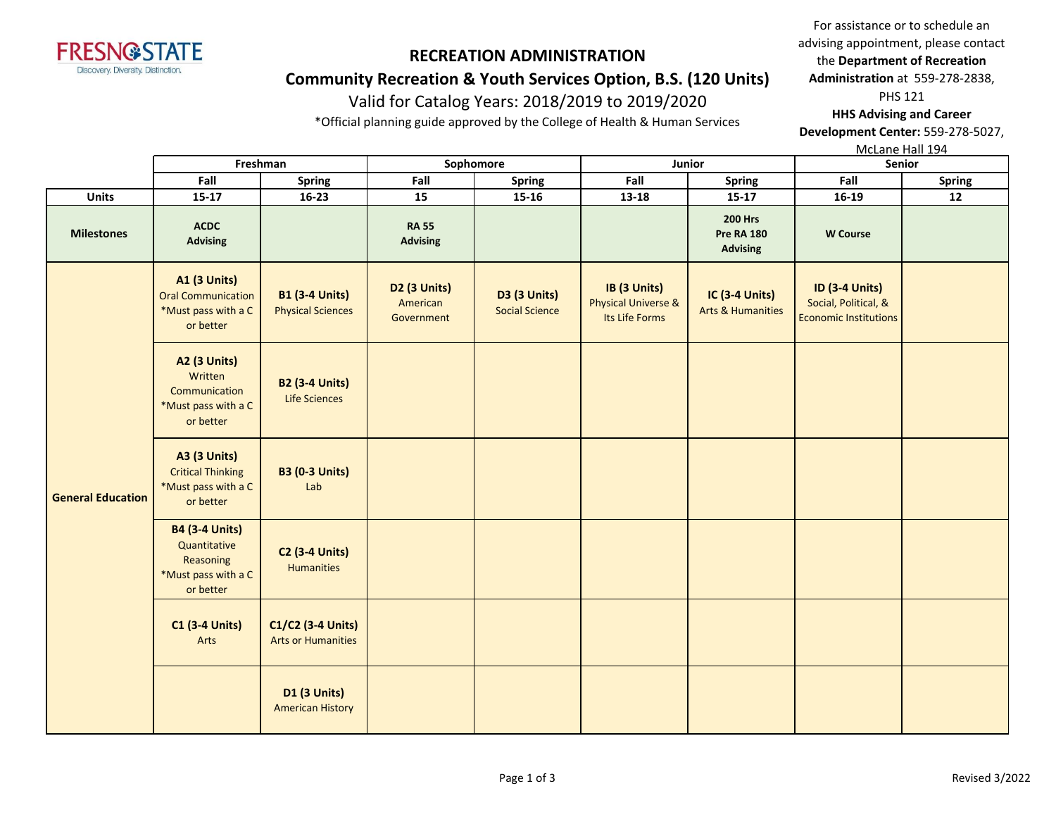

### **Community Recreation & Youth Services Option, B.S. (120 Units)**

## Valid for Catalog Years: 2018/2019 to 2019/2020

\*Official planning guide approved by the College of Health & Human Services

For assistance or to schedule an advising appointment, please contact the **Department of Recreation Administration** at 559-278-2838, PHS 121

**HHS Advising and Career Development Center:** 559-278-5027,

McLane Hall 194

|                          |                                                                                        | Freshman                                          | Sophomore                                     |                                              |                                                                  | Junior                                                 | Senior                                                                        |               |
|--------------------------|----------------------------------------------------------------------------------------|---------------------------------------------------|-----------------------------------------------|----------------------------------------------|------------------------------------------------------------------|--------------------------------------------------------|-------------------------------------------------------------------------------|---------------|
|                          | Fall                                                                                   | <b>Spring</b>                                     | Fall                                          | <b>Spring</b>                                | Fall                                                             | <b>Spring</b>                                          | Fall                                                                          | <b>Spring</b> |
| <b>Units</b>             | $15 - 17$                                                                              | $16 - 23$                                         | 15                                            | $15 - 16$                                    | $13 - 18$                                                        | $15-17$                                                | $16-19$                                                                       | 12            |
| <b>Milestones</b>        | <b>ACDC</b><br><b>Advising</b>                                                         |                                                   | <b>RA 55</b><br><b>Advising</b>               |                                              |                                                                  | <b>200 Hrs</b><br><b>Pre RA 180</b><br><b>Advising</b> | <b>W</b> Course                                                               |               |
|                          | <b>A1 (3 Units)</b><br><b>Oral Communication</b><br>*Must pass with a C<br>or better   | <b>B1 (3-4 Units)</b><br><b>Physical Sciences</b> | <b>D2 (3 Units)</b><br>American<br>Government | <b>D3 (3 Units)</b><br><b>Social Science</b> | IB (3 Units)<br><b>Physical Universe &amp;</b><br>Its Life Forms | IC (3-4 Units)<br><b>Arts &amp; Humanities</b>         | <b>ID (3-4 Units)</b><br>Social, Political, &<br><b>Economic Institutions</b> |               |
|                          | <b>A2 (3 Units)</b><br>Written<br>Communication<br>*Must pass with a C<br>or better    | <b>B2 (3-4 Units)</b><br>Life Sciences            |                                               |                                              |                                                                  |                                                        |                                                                               |               |
| <b>General Education</b> | <b>A3 (3 Units)</b><br><b>Critical Thinking</b><br>*Must pass with a C<br>or better    | <b>B3 (0-3 Units)</b><br>Lab                      |                                               |                                              |                                                                  |                                                        |                                                                               |               |
|                          | <b>B4 (3-4 Units)</b><br>Quantitative<br>Reasoning<br>*Must pass with a C<br>or better | <b>C2 (3-4 Units)</b><br><b>Humanities</b>        |                                               |                                              |                                                                  |                                                        |                                                                               |               |
|                          | <b>C1 (3-4 Units)</b><br>Arts                                                          | C1/C2 (3-4 Units)<br><b>Arts or Humanities</b>    |                                               |                                              |                                                                  |                                                        |                                                                               |               |
|                          |                                                                                        | <b>D1 (3 Units)</b><br><b>American History</b>    |                                               |                                              |                                                                  |                                                        |                                                                               |               |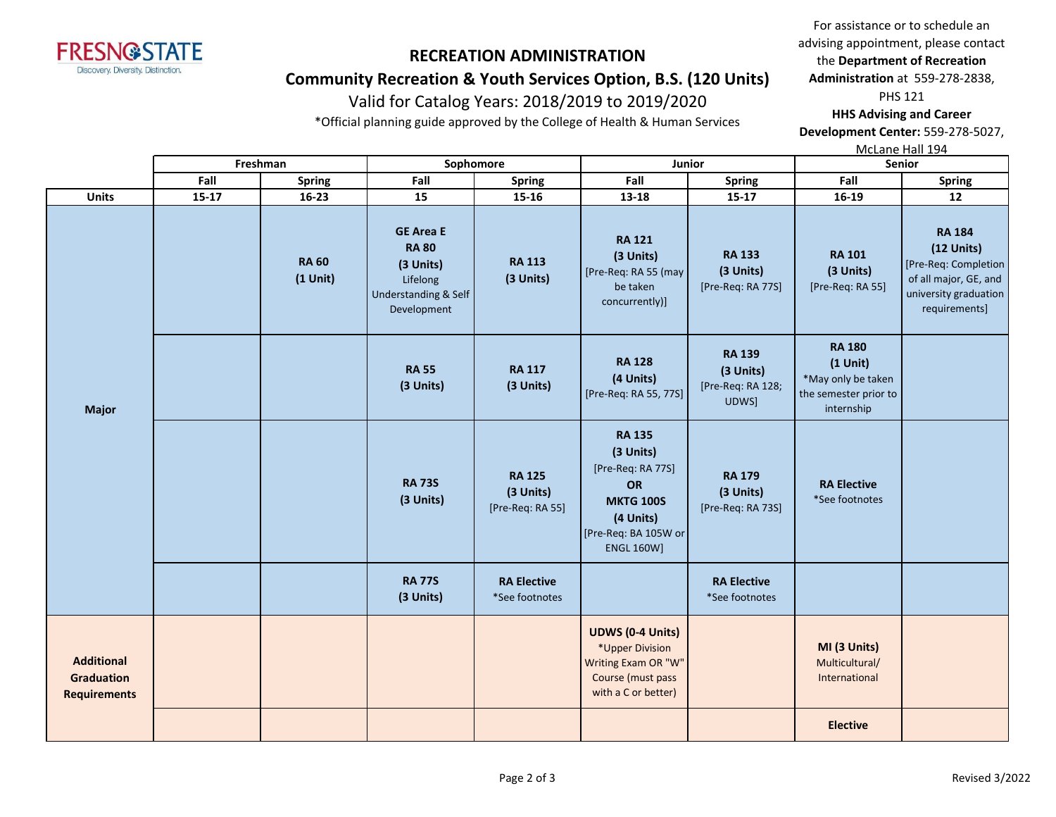

### **Community Recreation & Youth Services Option, B.S. (120 Units)**

## Valid for Catalog Years: 2018/2019 to 2019/2020

\*Official planning guide approved by the College of Health & Human Services

For assistance or to schedule an advising appointment, please contact the **Department of Recreation Administration** at 559-278-2838, PHS 121

**HHS Advising and Career Development Center:** 559-278-5027,

McLane Hall 194

|                                        |                     |           | Freshman                   | Sophomore                                                                                        |                                                | Junior                                                                                                                                     |                                                          | Senior                                                                                   |                                                                                                                          |
|----------------------------------------|---------------------|-----------|----------------------------|--------------------------------------------------------------------------------------------------|------------------------------------------------|--------------------------------------------------------------------------------------------------------------------------------------------|----------------------------------------------------------|------------------------------------------------------------------------------------------|--------------------------------------------------------------------------------------------------------------------------|
|                                        |                     | Fall      | <b>Spring</b>              | Fall                                                                                             | <b>Spring</b>                                  | Fall                                                                                                                                       | <b>Spring</b>                                            | Fall                                                                                     | <b>Spring</b>                                                                                                            |
|                                        | <b>Units</b>        | $15 - 17$ | 16-23                      | 15                                                                                               | 15-16                                          | 13-18                                                                                                                                      | $15 - 17$                                                | 16-19                                                                                    | 12                                                                                                                       |
|                                        |                     |           | <b>RA 60</b><br>$(1$ Unit) | <b>GE Area E</b><br><b>RA 80</b><br>(3 Units)<br>Lifelong<br>Understanding & Self<br>Development | <b>RA 113</b><br>(3 Units)                     | <b>RA 121</b><br>(3 Units)<br>[Pre-Req: RA 55 (may<br>be taken<br>concurrently)]                                                           | <b>RA 133</b><br>(3 Units)<br>[Pre-Req: RA 77S]          | <b>RA 101</b><br>(3 Units)<br>[Pre-Req: RA 55]                                           | <b>RA 184</b><br>$(12$ Units)<br>[Pre-Req: Completion<br>of all major, GE, and<br>university graduation<br>requirements] |
|                                        | <b>Major</b>        |           |                            | <b>RA 55</b><br>(3 Units)                                                                        | <b>RA 117</b><br>(3 Units)                     | <b>RA 128</b><br>(4 Units)<br>[Pre-Req: RA 55, 77S]                                                                                        | <b>RA 139</b><br>(3 Units)<br>[Pre-Req: RA 128;<br>UDWS] | <b>RA 180</b><br>$(1$ Unit)<br>*May only be taken<br>the semester prior to<br>internship |                                                                                                                          |
|                                        |                     |           |                            | <b>RA 73S</b><br>(3 Units)                                                                       | <b>RA 125</b><br>(3 Units)<br>[Pre-Req: RA 55] | <b>RA 135</b><br>(3 Units)<br>[Pre-Req: RA 77S]<br><b>OR</b><br><b>MKTG 100S</b><br>(4 Units)<br>[Pre-Req: BA 105W or<br><b>ENGL 160W]</b> | <b>RA 179</b><br>(3 Units)<br>[Pre-Req: RA 73S]          | <b>RA Elective</b><br>*See footnotes                                                     |                                                                                                                          |
|                                        |                     |           |                            | <b>RA 77S</b><br>(3 Units)                                                                       | <b>RA Elective</b><br>*See footnotes           |                                                                                                                                            | <b>RA Elective</b><br>*See footnotes                     |                                                                                          |                                                                                                                          |
| <b>Additional</b><br><b>Graduation</b> | <b>Requirements</b> |           |                            |                                                                                                  |                                                | <b>UDWS (0-4 Units)</b><br>*Upper Division<br>Writing Exam OR "W"<br>Course (must pass<br>with a C or better)                              |                                                          | MI (3 Units)<br>Multicultural/<br>International                                          |                                                                                                                          |
|                                        |                     |           |                            |                                                                                                  |                                                |                                                                                                                                            |                                                          | <b>Elective</b>                                                                          |                                                                                                                          |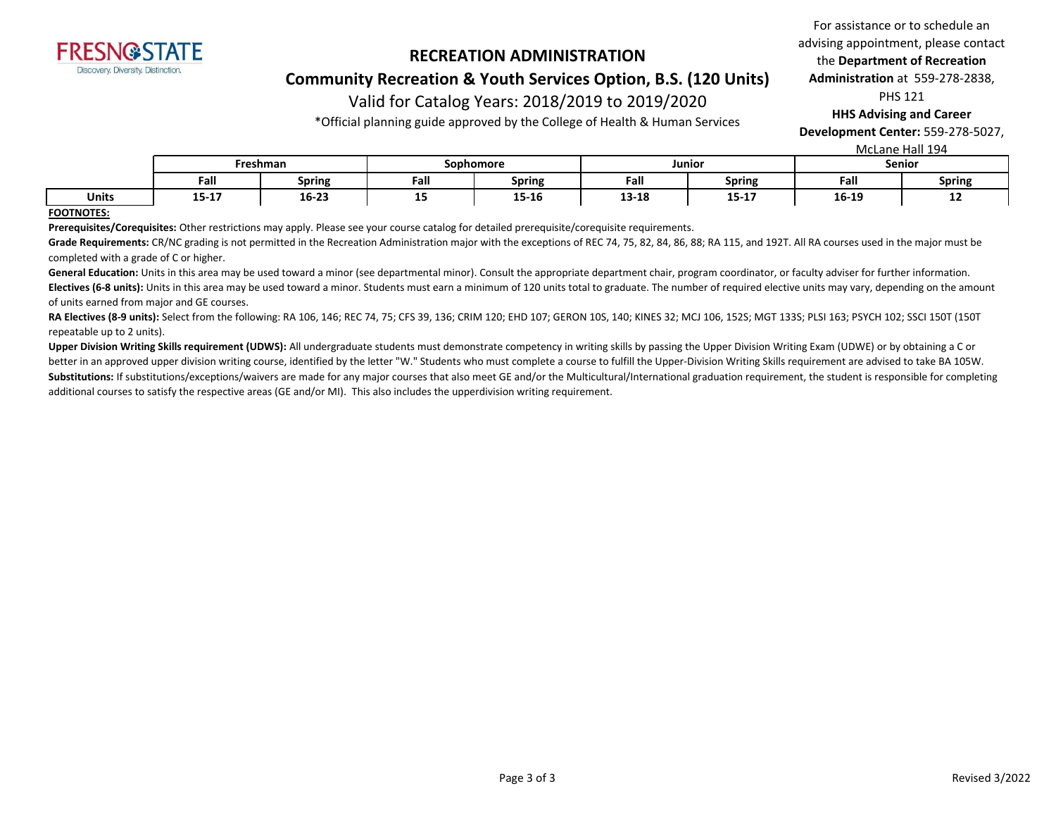

### **Community Recreation & Youth Services Option, B.S. (120 Units)**

# Valid for Catalog Years: 2018/2019 to 2019/2020

\*Official planning guide approved by the College of Health & Human Services

For assistance or to schedule an advising appointment, please contact the **Department of Recreation Administration** at 559-278-2838, PHS 121

**HHS Advising and Career** 

**Development Center:** 559-278-5027,

|              |          |               |           |               |           |               | McLane Hall 194 |               |
|--------------|----------|---------------|-----------|---------------|-----------|---------------|-----------------|---------------|
|              | Freshman |               | Sophomore |               | Junior    |               | <b>Senior</b>   |               |
|              | Fall     | <b>Spring</b> | Fall      | <b>Spring</b> | Fall      | <b>Spring</b> | Fall            | <b>Spring</b> |
| <b>Units</b> | 15-17    | $16 - 23$     | --        | 15-16         | $13 - 18$ | $15 - 17$     | 16-19           | --            |

#### **FOOTNOTES:**

**Prerequisites/Corequisites:** Other restrictions may apply. Please see your course catalog for detailed prerequisite/corequisite requirements.

Grade Requirements: CR/NC grading is not permitted in the Recreation Administration major with the exceptions of REC 74, 75, 82, 84, 86, 88; RA 115, and 192T. All RA courses used in the major must be completed with a grade of C or higher.

General Education: Units in this area may be used toward a minor (see departmental minor). Consult the appropriate department chair, program coordinator, or faculty adviser for further information. Electives (6-8 units): Units in this area may be used toward a minor. Students must earn a minimum of 120 units total to graduate. The number of required elective units may vary, depending on the amount of units earned from major and GE courses.

**RA Electives (8-9 units):** Select from the following: RA 106, 146; REC 74, 75; CFS 39, 136; CRIM 120; EHD 107; GERON 10S, 140; KINES 32; MCJ 106, 152S; MGT 133S; PLSI 163; PSYCH 102; SSCI 150T (150T repeatable up to 2 units).

Upper Division Writing Skills requirement (UDWS): All undergraduate students must demonstrate competency in writing skills by passing the Upper Division Writing Exam (UDWE) or by obtaining a C or better in an approved upper division writing course, identified by the letter "W." Students who must complete a course to fulfill the Upper-Division Writing Skills requirement are advised to take BA 105W. Substitutions: If substitutions/exceptions/waivers are made for any major courses that also meet GE and/or the Multicultural/International graduation requirement, the student is responsible for completing additional courses to satisfy the respective areas (GE and/or MI). This also includes the upperdivision writing requirement.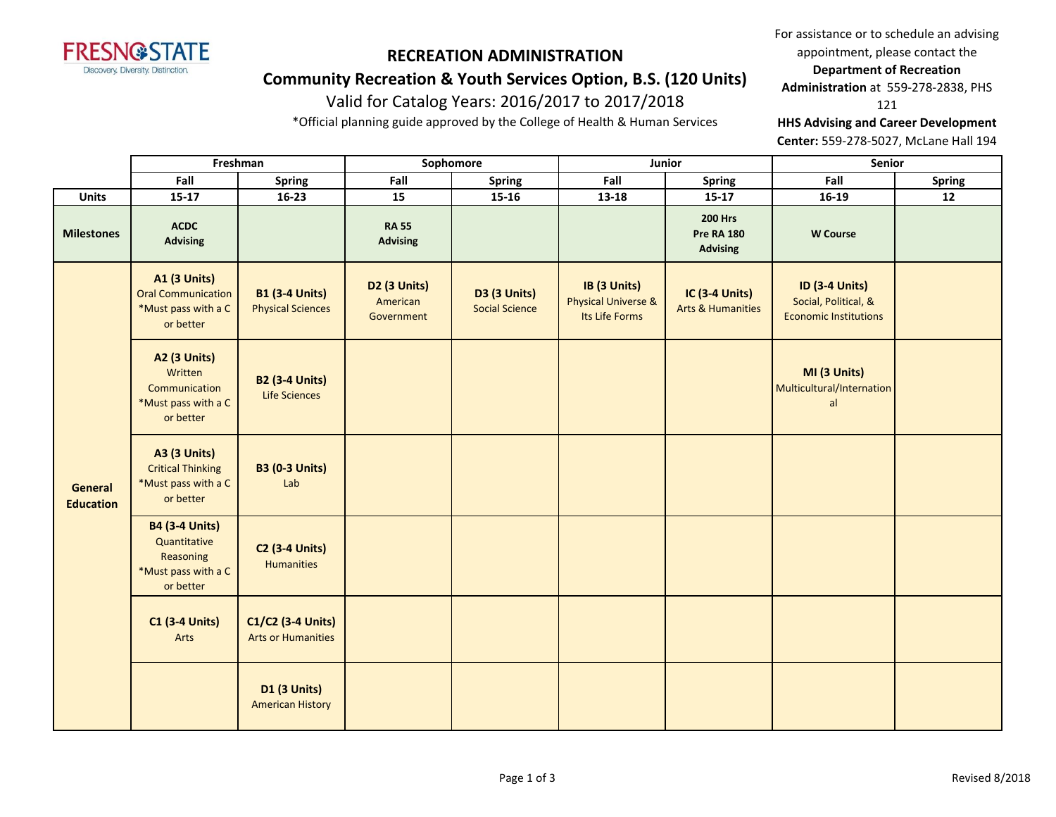

# **RECREATION ADMINISTRATION Community Recreation & Youth Services Option, B.S. (120 Units)**

# Valid for Catalog Years: 2016/2017 to 2017/2018

\*Official planning guide approved by the College of Health & Human Services

For assistance or to schedule an advising appointment, please contact the **Department of Recreation Administration** at 559-278-2838, PHS

121

**HHS Advising and Career Development** 

**Center:** 559-278-5027, McLane Hall 194

|                                    | Freshman                                                                               |                                                   | Sophomore                              |                                              | Junior                                                           |                                                        | Senior                                                                        |               |
|------------------------------------|----------------------------------------------------------------------------------------|---------------------------------------------------|----------------------------------------|----------------------------------------------|------------------------------------------------------------------|--------------------------------------------------------|-------------------------------------------------------------------------------|---------------|
|                                    | Fall                                                                                   | Spring                                            | Fall                                   | <b>Spring</b>                                | Fall                                                             | <b>Spring</b>                                          | Fall                                                                          | <b>Spring</b> |
| Units                              | $15 - 17$                                                                              | $16 - 23$                                         | 15                                     | 15-16                                        | $13 - 18$                                                        | $15 - 17$                                              | $16-19$                                                                       | 12            |
| <b>Milestones</b>                  | <b>ACDC</b><br><b>Advising</b>                                                         |                                                   | <b>RA 55</b><br><b>Advising</b>        |                                              |                                                                  | <b>200 Hrs</b><br><b>Pre RA 180</b><br><b>Advising</b> | <b>W</b> Course                                                               |               |
|                                    | <b>A1 (3 Units)</b><br><b>Oral Communication</b><br>*Must pass with a C<br>or better   | <b>B1 (3-4 Units)</b><br><b>Physical Sciences</b> | D2 (3 Units)<br>American<br>Government | <b>D3 (3 Units)</b><br><b>Social Science</b> | IB (3 Units)<br><b>Physical Universe &amp;</b><br>Its Life Forms | <b>IC (3-4 Units)</b><br><b>Arts &amp; Humanities</b>  | <b>ID (3-4 Units)</b><br>Social, Political, &<br><b>Economic Institutions</b> |               |
|                                    | A2 (3 Units)<br>Written<br>Communication<br>*Must pass with a C<br>or better           | <b>B2 (3-4 Units)</b><br><b>Life Sciences</b>     |                                        |                                              |                                                                  |                                                        | MI (3 Units)<br>Multicultural/Internation<br>al                               |               |
| <b>General</b><br><b>Education</b> | <b>A3 (3 Units)</b><br><b>Critical Thinking</b><br>*Must pass with a C<br>or better    | <b>B3 (0-3 Units)</b><br>Lab                      |                                        |                                              |                                                                  |                                                        |                                                                               |               |
|                                    | <b>B4 (3-4 Units)</b><br>Quantitative<br>Reasoning<br>*Must pass with a C<br>or better | <b>C2 (3-4 Units)</b><br><b>Humanities</b>        |                                        |                                              |                                                                  |                                                        |                                                                               |               |
|                                    | <b>C1 (3-4 Units)</b><br>Arts                                                          | C1/C2 (3-4 Units)<br><b>Arts or Humanities</b>    |                                        |                                              |                                                                  |                                                        |                                                                               |               |
|                                    |                                                                                        | <b>D1 (3 Units)</b><br><b>American History</b>    |                                        |                                              |                                                                  |                                                        |                                                                               |               |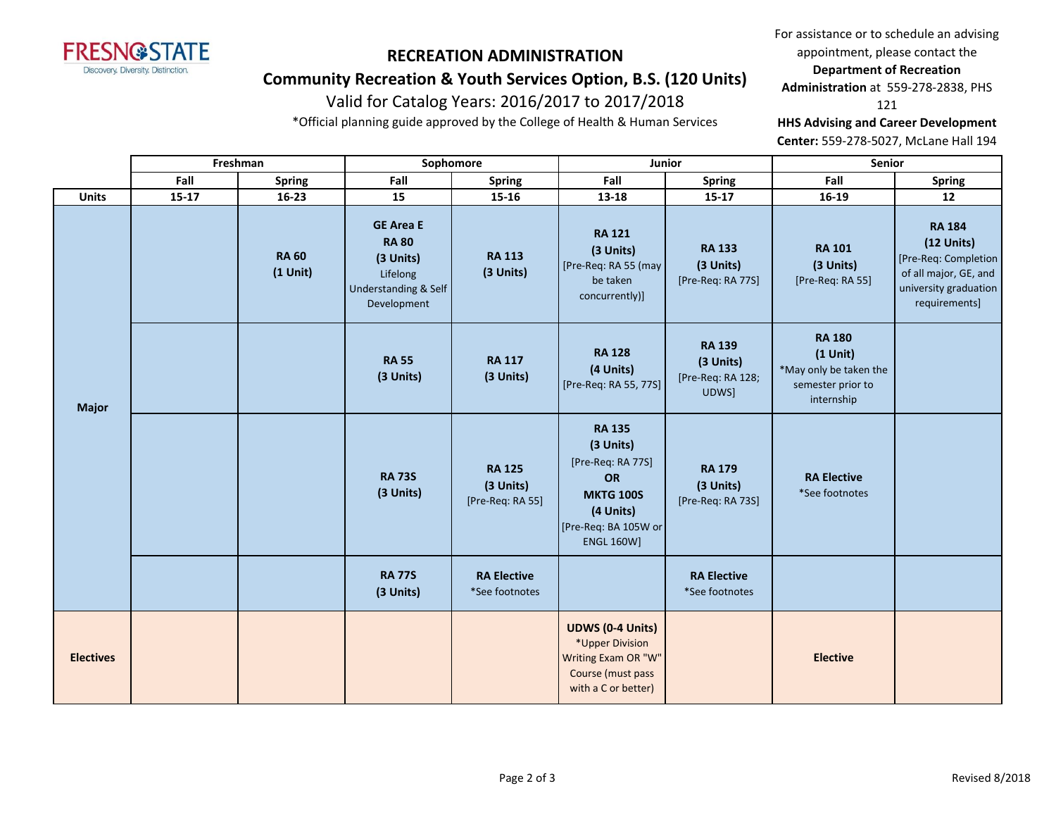

# **RECREATION ADMINISTRATION Community Recreation & Youth Services Option, B.S. (120 Units)**

# Valid for Catalog Years: 2016/2017 to 2017/2018

\*Official planning guide approved by the College of Health & Human Services

For assistance or to schedule an advising appointment, please contact the **Department of Recreation Administration** at 559-278-2838, PHS

121

**HHS Advising and Career Development** 

**Center:** 559-278-5027, McLane Hall 194

|                  |           | Freshman                   | Sophomore                                                                                        |                                                | Junior                                                                                                                                     |                                                          | Senior                                                                                   |                                                                                                                          |
|------------------|-----------|----------------------------|--------------------------------------------------------------------------------------------------|------------------------------------------------|--------------------------------------------------------------------------------------------------------------------------------------------|----------------------------------------------------------|------------------------------------------------------------------------------------------|--------------------------------------------------------------------------------------------------------------------------|
|                  | Fall      | <b>Spring</b>              | Fall                                                                                             | <b>Spring</b>                                  | Fall                                                                                                                                       | <b>Spring</b>                                            | Fall                                                                                     | <b>Spring</b>                                                                                                            |
| <b>Units</b>     | $15 - 17$ | 16-23                      | 15                                                                                               | 15-16                                          | 13-18                                                                                                                                      | $15 - 17$                                                | 16-19                                                                                    | 12                                                                                                                       |
|                  |           | <b>RA 60</b><br>$(1$ Unit) | <b>GE Area E</b><br><b>RA 80</b><br>(3 Units)<br>Lifelong<br>Understanding & Self<br>Development | <b>RA 113</b><br>(3 Units)                     | <b>RA 121</b><br>(3 Units)<br>[Pre-Req: RA 55 (may<br>be taken<br>concurrently)]                                                           | <b>RA 133</b><br>(3 Units)<br>[Pre-Req: RA 77S]          | <b>RA 101</b><br>(3 Units)<br>[Pre-Req: RA 55]                                           | <b>RA 184</b><br>$(12$ Units)<br>[Pre-Req: Completion<br>of all major, GE, and<br>university graduation<br>requirements] |
| <b>Major</b>     |           |                            | <b>RA 55</b><br>(3 Units)                                                                        | <b>RA 117</b><br>(3 Units)                     | <b>RA 128</b><br>(4 Units)<br>[Pre-Req: RA 55, 77S]                                                                                        | <b>RA 139</b><br>(3 Units)<br>[Pre-Req: RA 128;<br>UDWS] | <b>RA 180</b><br>$(1$ Unit)<br>*May only be taken the<br>semester prior to<br>internship |                                                                                                                          |
|                  |           |                            | <b>RA 73S</b><br>(3 Units)                                                                       | <b>RA 125</b><br>(3 Units)<br>[Pre-Req: RA 55] | <b>RA 135</b><br>(3 Units)<br>[Pre-Req: RA 77S]<br><b>OR</b><br><b>MKTG 100S</b><br>(4 Units)<br>[Pre-Req: BA 105W or<br><b>ENGL 160W]</b> | <b>RA 179</b><br>(3 Units)<br>[Pre-Req: RA 73S]          | <b>RA Elective</b><br>*See footnotes                                                     |                                                                                                                          |
|                  |           |                            | <b>RA 77S</b><br>(3 Units)                                                                       | <b>RA Elective</b><br>*See footnotes           |                                                                                                                                            | <b>RA Elective</b><br>*See footnotes                     |                                                                                          |                                                                                                                          |
| <b>Electives</b> |           |                            |                                                                                                  |                                                | <b>UDWS (0-4 Units)</b><br>*Upper Division<br>Writing Exam OR "W"<br>Course (must pass<br>with a C or better)                              |                                                          | <b>Elective</b>                                                                          |                                                                                                                          |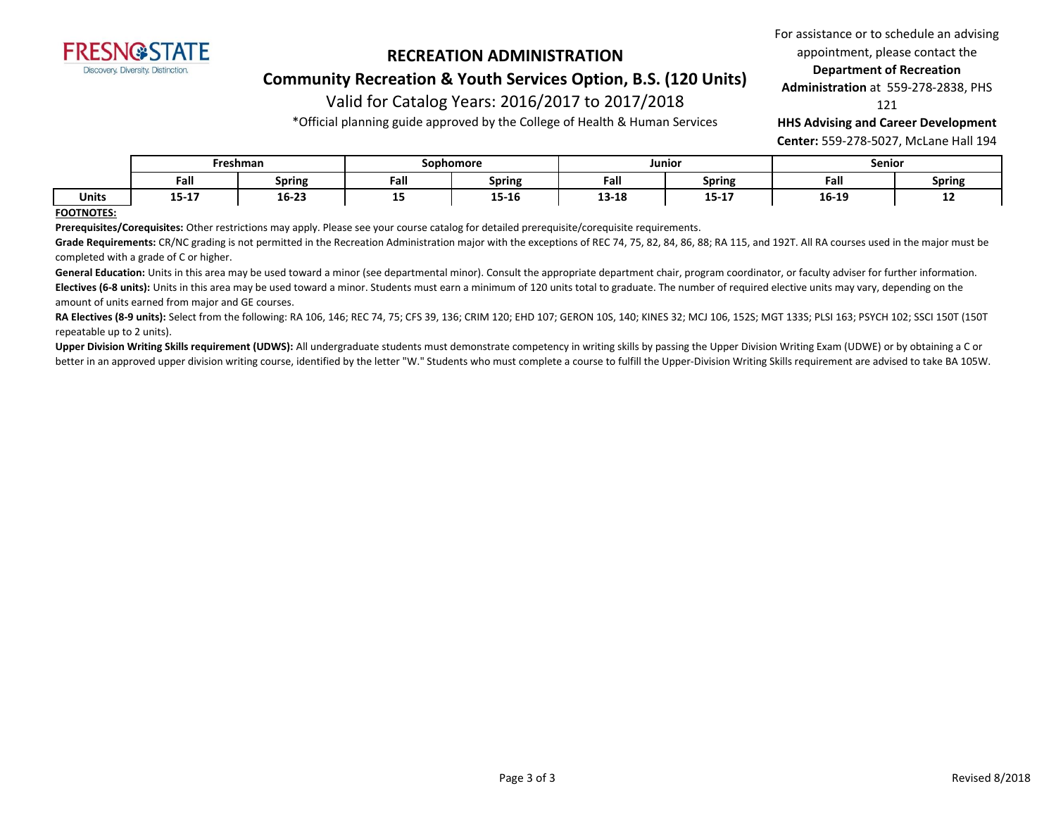

**Community Recreation & Youth Services Option, B.S. (120 Units)**

### Valid for Catalog Years: 2016/2017 to 2017/2018

\*Official planning guide approved by the College of Health & Human Services

For assistance or to schedule an advising appointment, please contact the **Department of Recreation** 

**Administration** at 559-278-2838, PHS

121

**HHS Advising and Career Development** 

**Center:** 559-278-5027, McLane Hall 194

|       | Freshman   |        |      | Sophomore        |       | Junior           |                | Senior        |  |
|-------|------------|--------|------|------------------|-------|------------------|----------------|---------------|--|
|       | Fall       | Spring | Fall | Spring           | Fall  | Spring           | Fall           | <b>Spring</b> |  |
| Units | .<br>13-T) | 16-23  | --   | $- - -$<br>15-10 | 13-18 | 1 E 1 7<br>13-1. | 10.10<br>16-19 | --            |  |

### **FOOTNOTES:**

**Prerequisites/Corequisites:** Other restrictions may apply. Please see your course catalog for detailed prerequisite/corequisite requirements.

Grade Requirements: CR/NC grading is not permitted in the Recreation Administration major with the exceptions of REC 74, 75, 82, 84, 86, 88; RA 115, and 192T. All RA courses used in the major must be completed with a grade of C or higher.

General Education: Units in this area may be used toward a minor (see departmental minor). Consult the appropriate department chair, program coordinator, or faculty adviser for further information. Electives (6-8 units): Units in this area may be used toward a minor. Students must earn a minimum of 120 units total to graduate. The number of required elective units may vary, depending on the amount of units earned from major and GE courses.

**RA Electives (8-9 units):** Select from the following: RA 106, 146; REC 74, 75; CFS 39, 136; CRIM 120; EHD 107; GERON 10S, 140; KINES 32; MCJ 106, 152S; MGT 133S; PLSI 163; PSYCH 102; SSCI 150T (150T repeatable up to 2 units).

Upper Division Writing Skills requirement (UDWS): All undergraduate students must demonstrate competency in writing skills by passing the Upper Division Writing Exam (UDWE) or by obtaining a C or better in an approved upper division writing course, identified by the letter "W." Students who must complete a course to fulfill the Upper-Division Writing Skills requirement are advised to take BA 105W.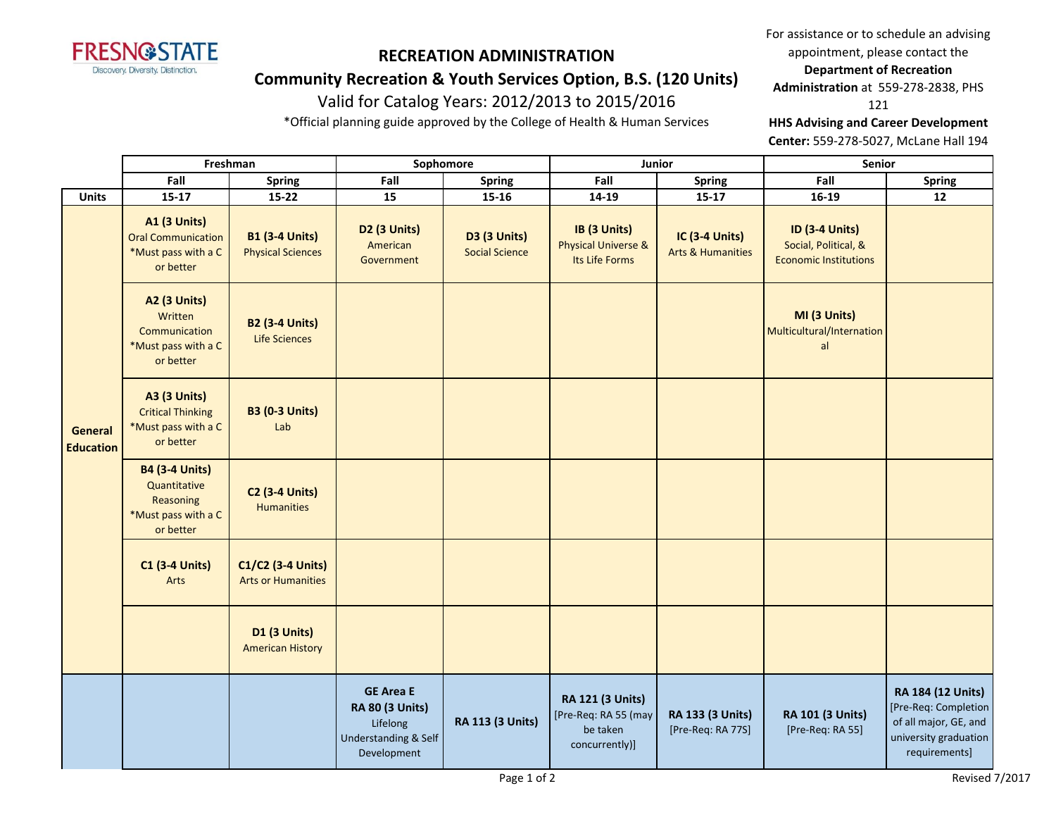

### **Community Recreation & Youth Services Option, B.S. (120 Units)**

# Valid for Catalog Years: 2012/2013 to 2015/2016

\*Official planning guide approved by the College of Health & Human Services

For assistance or to schedule an advising appointment, please contact the

### **Department of Recreation**

**Administration** at 559-278-2838, PHS

121

**HHS Advising and Career Development** 

**Center:** 559-278-5027, McLane Hall 194

|                             | Freshman                                                                               |                                                   | Sophomore                                                                                     |                                       | Junior                                                                        |                                                       | Senior                                                                        |                                                                                                              |
|-----------------------------|----------------------------------------------------------------------------------------|---------------------------------------------------|-----------------------------------------------------------------------------------------------|---------------------------------------|-------------------------------------------------------------------------------|-------------------------------------------------------|-------------------------------------------------------------------------------|--------------------------------------------------------------------------------------------------------------|
|                             | Fall                                                                                   | <b>Spring</b>                                     | Fall                                                                                          | Spring                                | Fall                                                                          | Spring                                                | Fall                                                                          | <b>Spring</b>                                                                                                |
| <b>Units</b>                | $15 - 17$                                                                              | $15-22$                                           | 15                                                                                            | $15 - 16$                             | 14-19                                                                         | $15 - 17$                                             | 16-19                                                                         | 12                                                                                                           |
|                             | <b>A1 (3 Units)</b><br><b>Oral Communication</b><br>*Must pass with a C<br>or better   | <b>B1 (3-4 Units)</b><br><b>Physical Sciences</b> | D2 (3 Units)<br>American<br>Government                                                        | D3 (3 Units)<br><b>Social Science</b> | IB (3 Units)<br><b>Physical Universe &amp;</b><br>Its Life Forms              | <b>IC (3-4 Units)</b><br><b>Arts &amp; Humanities</b> | <b>ID (3-4 Units)</b><br>Social, Political, &<br><b>Economic Institutions</b> |                                                                                                              |
|                             | <b>A2 (3 Units)</b><br>Written<br>Communication<br>*Must pass with a C<br>or better    | <b>B2 (3-4 Units)</b><br><b>Life Sciences</b>     |                                                                                               |                                       |                                                                               |                                                       | MI (3 Units)<br>Multicultural/Internation<br>al                               |                                                                                                              |
| General<br><b>Education</b> | <b>A3 (3 Units)</b><br><b>Critical Thinking</b><br>*Must pass with a C<br>or better    | <b>B3 (0-3 Units)</b><br>Lab                      |                                                                                               |                                       |                                                                               |                                                       |                                                                               |                                                                                                              |
|                             | <b>B4 (3-4 Units)</b><br>Quantitative<br>Reasoning<br>*Must pass with a C<br>or better | <b>C2 (3-4 Units)</b><br><b>Humanities</b>        |                                                                                               |                                       |                                                                               |                                                       |                                                                               |                                                                                                              |
|                             | <b>C1 (3-4 Units)</b><br>Arts                                                          | C1/C2 (3-4 Units)<br><b>Arts or Humanities</b>    |                                                                                               |                                       |                                                                               |                                                       |                                                                               |                                                                                                              |
|                             |                                                                                        | D1 (3 Units)<br><b>American History</b>           |                                                                                               |                                       |                                                                               |                                                       |                                                                               |                                                                                                              |
|                             |                                                                                        |                                                   | <b>GE Area E</b><br><b>RA 80 (3 Units)</b><br>Lifelong<br>Understanding & Self<br>Development | <b>RA 113 (3 Units)</b>               | <b>RA 121 (3 Units)</b><br>[Pre-Req: RA 55 (may<br>be taken<br>concurrently)] | RA 133 (3 Units)<br>[Pre-Req: RA 77S]                 | <b>RA 101 (3 Units)</b><br>[Pre-Req: RA 55]                                   | RA 184 (12 Units)<br>[Pre-Req: Completion<br>of all major, GE, and<br>university graduation<br>requirements] |